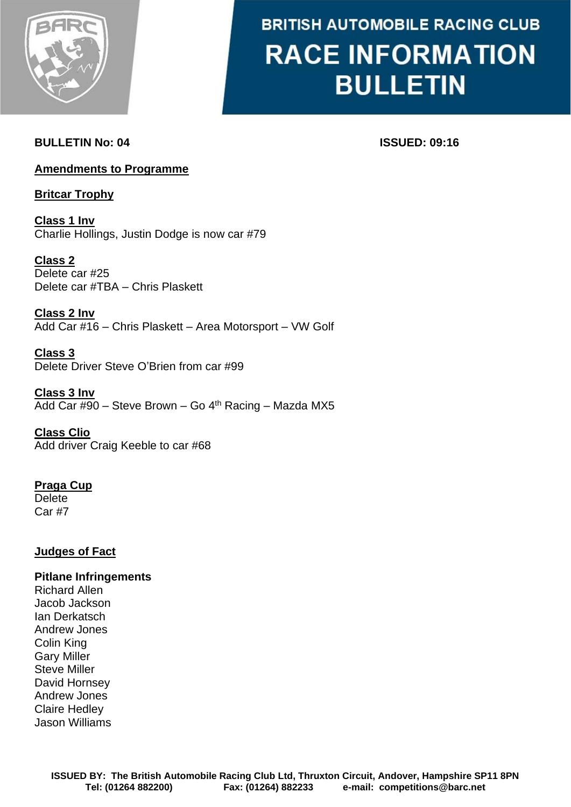

# **BRITISH AUTOMOBILE RACING CLUB RACE INFORMATION BULLETIN**

## **BULLETIN No: 04 ISSUED: 09:16**

### **Amendments to Programme**

**Britcar Trophy**

**Class 1 Inv** Charlie Hollings, Justin Dodge is now car #79

**Class 2** Delete car #25 Delete car #TBA – Chris Plaskett

**Class 2 Inv** Add Car #16 – Chris Plaskett – Area Motorsport – VW Golf

**Class 3** Delete Driver Steve O'Brien from car #99

**Class 3 Inv** Add Car #90 - Steve Brown - Go 4<sup>th</sup> Racing - Mazda MX5

**Class Clio** Add driver Craig Keeble to car #68

**Praga Cup Delete** Car #7

### **Judges of Fact**

#### **Pitlane Infringements**

Richard Allen Jacob Jackson Ian Derkatsch Andrew Jones Colin King Gary Miller Steve Miller David Hornsey Andrew Jones Claire Hedley Jason Williams